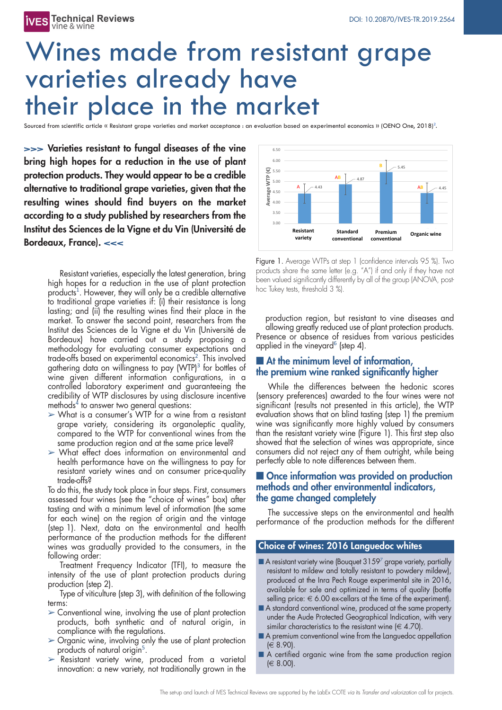# Wines made from resistant grape varieties already have their place in the market

Sourced from scientific article « Resistant grape varieties and market acceptance : an evaluation based on experimental economics » (OENO One, 2018)<sup>2</sup>.

**>>> Varieties resistant to fungal diseases of the vine bring high hopes for a reduction in the use of plant protection products. They would appear to be a credible alternative to traditional grape varieties, given that the resulting wines should find buyers on the market according to a study published by researchers from the Institut des Sciences de la Vigne et du Vin (Université de Bordeaux, France). <<<**

> Resistant varieties, especially the latest generation, bring high hopes for a reduction in the use of plant protection products 1 . However, they will only be a credible alternative to traditional grape varieties if: (i) their resistance is long lasting; and (ii) the resulting wines find their place in the market. To answer the second point, researchers from the Institut des Sciences de la Vigne et du Vin (Université de Bordeaux) have carried out a study proposing a methodology for evaluating consumer expectations and trade-offs based on experimental economics 2 . This involved gathering data on willingness to pay (WTP) <sup>3</sup> for bottles of wine given different information configurations, in a controlled laboratory experiment and guaranteeing the credibility of WTP disclosures by using disclosure incentive methods <sup>4</sup> to answer two general questions:

- $>$  What is a consumer's WTP for a wine from a resistant grape variety, considering its organoleptic quality, compared to the WTP for conventional wines from the same production region and at the same price level?
- $\triangleright$  What effect does information on environmental and health performance have on the willingness to pay for resistant variety wines and on consumer price-quality trade-offs?

To do this, the study took place in four steps. First, consumers assessed four wines (see the "choice of wines" box) after tasting and with a minimum level of information (the same for each wine) on the region of origin and the vintage (step 1). Next, data on the environmental and health performance of the production methods for the different wines was gradually provided to the consumers, in the following order:

Treatment Frequency Indicator (TFI), to measure the intensity of the use of plant protection products during production (step 2).

Type of viticulture (step 3), with definition of the following terms:

- $\geq$  Conventional wine, involving the use of plant protection products, both synthetic and of natural origin, in compliance with the regulations.
- $\geq$  Organic wine, involving only the use of plant protection products of natural origin<sup>5</sup>.
- $\triangleright$  Resistant variety wine, produced from a varietal innovation: a new variety, not traditionally grown in the



Figure 1. Average WTPs at step 1 (confidence intervals 95 %). Two products share the same letter (e.g. "A") if and only if they have not been valued significantly differently by all of the group (ANOVA, posthoc Tukey tests, threshold 3 %).

production region, but resistant to vine diseases and allowing greatly reduced use of plant protection products. Presence or absence of residues from various pesticides applied in the vineyard<sup>6</sup> (step 4).

## n **At the minimum level of information, the premium wine ranked significantly higher**

While the differences between the hedonic scores (sensory preferences) awarded to the four wines were not significant (results not presented in this article), the WTP evaluation shows that on blind tasting (step 1) the premium wine was significantly more highly valued by consumers than the resistant variety wine (Figure 1). This first step also showed that the selection of wines was appropriate, since consumers did not reject any of them outright, while being perfectly able to note differences between them.

### n **Once information was provided on production methods and other environmental indicators, the game changed completely**

The successive steps on the environmental and health performance of the production methods for the different

### **Choice of wines: 2016 Languedoc whites**

- $\blacksquare$  A resistant variety wine (Bouquet 3159<sup>7</sup> grape variety, partially resistant to mildew and totally resistant to powdery mildew), produced at the Inra Pech Rouge experimental site in 2016, available for sale and optimized in terms of quality (bottle selling price:  $\in 6.00$  ex-cellars at the time of the experiment).
- A standard conventional wine, produced at the same property under the Aude Protected Geographical Indication, with very similar characteristics to the resistant wine  $(\in 4.70)$ .
- A premium conventional wine from the Languedoc appellation (€ 8.90).
- A certified organic wine from the same production region (€ 8.00).